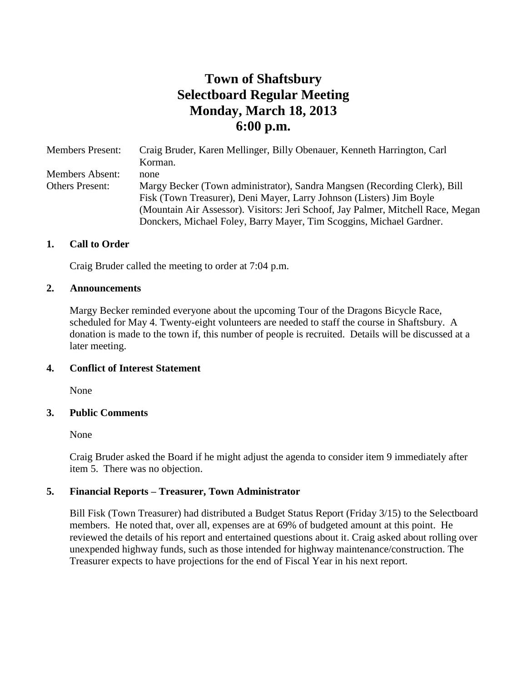# **Town of Shaftsbury Selectboard Regular Meeting Monday, March 18, 2013 6:00 p.m.**

Members Present: Craig Bruder, Karen Mellinger, Billy Obenauer, Kenneth Harrington, Carl Korman. Members Absent: none Others Present: Margy Becker (Town administrator), Sandra Mangsen (Recording Clerk), Bill Fisk (Town Treasurer), Deni Mayer, Larry Johnson (Listers) Jim Boyle (Mountain Air Assessor). Visitors: Jeri Schoof, Jay Palmer, Mitchell Race, Megan Donckers, Michael Foley, Barry Mayer, Tim Scoggins, Michael Gardner.

#### **1. Call to Order**

Craig Bruder called the meeting to order at 7:04 p.m.

#### **2. Announcements**

Margy Becker reminded everyone about the upcoming Tour of the Dragons Bicycle Race, scheduled for May 4. Twenty-eight volunteers are needed to staff the course in Shaftsbury. A donation is made to the town if, this number of people is recruited. Details will be discussed at a later meeting.

#### **4. Conflict of Interest Statement**

None

#### **3. Public Comments**

None

Craig Bruder asked the Board if he might adjust the agenda to consider item 9 immediately after item 5. There was no objection.

#### **5. Financial Reports – Treasurer, Town Administrator**

Bill Fisk (Town Treasurer) had distributed a Budget Status Report (Friday 3/15) to the Selectboard members. He noted that, over all, expenses are at 69% of budgeted amount at this point. He reviewed the details of his report and entertained questions about it. Craig asked about rolling over unexpended highway funds, such as those intended for highway maintenance/construction. The Treasurer expects to have projections for the end of Fiscal Year in his next report.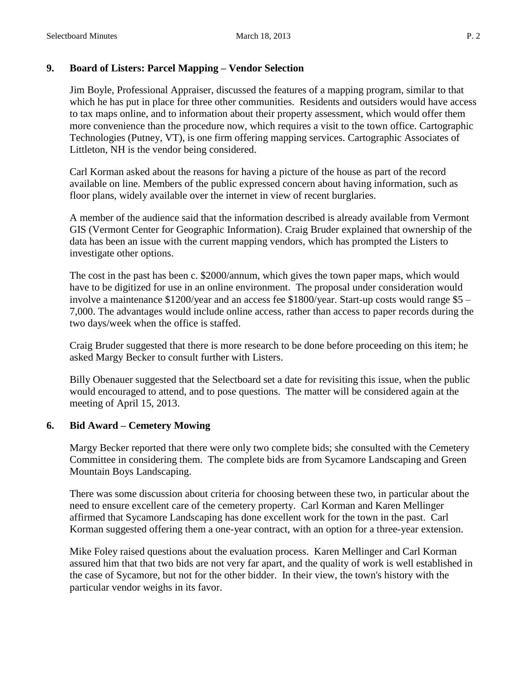## **9. Board of Listers: Parcel Mapping – Vendor Selection**

Jim Boyle, Professional Appraiser, discussed the features of a mapping program, similar to that which he has put in place for three other communities. Residents and outsiders would have access to tax maps online, and to information about their property assessment, which would offer them more convenience than the procedure now, which requires a visit to the town office. Cartographic Technologies (Putney, VT), is one firm offering mapping services. Cartographic Associates of Littleton, NH is the vendor being considered.

Carl Korman asked about the reasons for having a picture of the house as part of the record available on line. Members of the public expressed concern about having information, such as floor plans, widely available over the internet in view of recent burglaries.

A member of the audience said that the information described is already available from Vermont GIS (Vermont Center for Geographic Information). Craig Bruder explained that ownership of the data has been an issue with the current mapping vendors, which has prompted the Listers to investigate other options.

The cost in the past has been c. \$2000/annum, which gives the town paper maps, which would have to be digitized for use in an online environment. The proposal under consideration would involve a maintenance \$1200/year and an access fee \$1800/year. Start-up costs would range \$5 – 7,000. The advantages would include online access, rather than access to paper records during the two days/week when the office is staffed.

Craig Bruder suggested that there is more research to be done before proceeding on this item; he asked Margy Becker to consult further with Listers.

Billy Obenauer suggested that the Selectboard set a date for revisiting this issue, when the public would encouraged to attend, and to pose questions. The matter will be considered again at the meeting of April 15, 2013.

# **6. Bid Award – Cemetery Mowing**

Margy Becker reported that there were only two complete bids; she consulted with the Cemetery Committee in considering them. The complete bids are from Sycamore Landscaping and Green Mountain Boys Landscaping.

There was some discussion about criteria for choosing between these two, in particular about the need to ensure excellent care of the cemetery property. Carl Korman and Karen Mellinger affirmed that Sycamore Landscaping has done excellent work for the town in the past. Carl Korman suggested offering them a one-year contract, with an option for a three-year extension.

Mike Foley raised questions about the evaluation process. Karen Mellinger and Carl Korman assured him that that two bids are not very far apart, and the quality of work is well established in the case of Sycamore, but not for the other bidder. In their view, the town's history with the particular vendor weighs in its favor.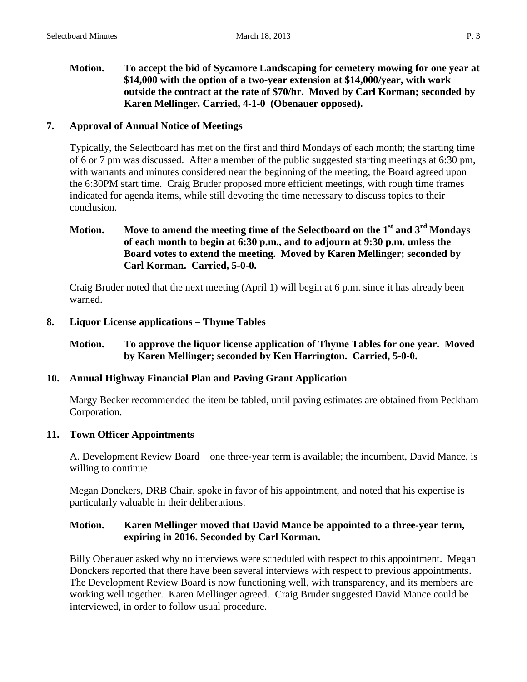### **Motion. To accept the bid of Sycamore Landscaping for cemetery mowing for one year at \$14,000 with the option of a two-year extension at \$14,000/year, with work outside the contract at the rate of \$70/hr. Moved by Carl Korman; seconded by Karen Mellinger. Carried, 4-1-0 (Obenauer opposed).**

## **7. Approval of Annual Notice of Meetings**

Typically, the Selectboard has met on the first and third Mondays of each month; the starting time of 6 or 7 pm was discussed. After a member of the public suggested starting meetings at 6:30 pm, with warrants and minutes considered near the beginning of the meeting, the Board agreed upon the 6:30PM start time. Craig Bruder proposed more efficient meetings, with rough time frames indicated for agenda items, while still devoting the time necessary to discuss topics to their conclusion.

## **Motion. Move to amend the meeting time of the Selectboard on the 1st and 3rd Mondays of each month to begin at 6:30 p.m., and to adjourn at 9:30 p.m. unless the Board votes to extend the meeting. Moved by Karen Mellinger; seconded by Carl Korman. Carried, 5-0-0.**

Craig Bruder noted that the next meeting (April 1) will begin at 6 p.m. since it has already been warned.

## **8. Liquor License applications – Thyme Tables**

## **Motion. To approve the liquor license application of Thyme Tables for one year. Moved by Karen Mellinger; seconded by Ken Harrington. Carried, 5-0-0.**

### **10. Annual Highway Financial Plan and Paving Grant Application**

Margy Becker recommended the item be tabled, until paving estimates are obtained from Peckham Corporation.

### **11. Town Officer Appointments**

A. Development Review Board – one three-year term is available; the incumbent, David Mance, is willing to continue.

Megan Donckers, DRB Chair, spoke in favor of his appointment, and noted that his expertise is particularly valuable in their deliberations.

### **Motion. Karen Mellinger moved that David Mance be appointed to a three-year term, expiring in 2016. Seconded by Carl Korman.**

Billy Obenauer asked why no interviews were scheduled with respect to this appointment. Megan Donckers reported that there have been several interviews with respect to previous appointments. The Development Review Board is now functioning well, with transparency, and its members are working well together. Karen Mellinger agreed. Craig Bruder suggested David Mance could be interviewed, in order to follow usual procedure.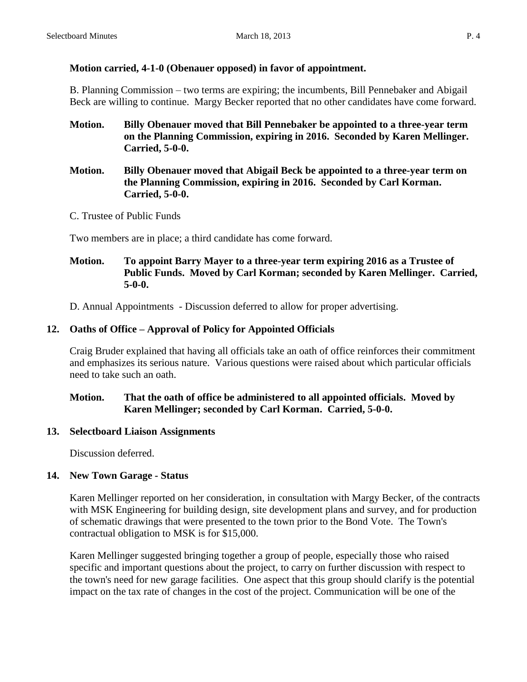# **Motion carried, 4-1-0 (Obenauer opposed) in favor of appointment.**

B. Planning Commission – two terms are expiring; the incumbents, Bill Pennebaker and Abigail Beck are willing to continue. Margy Becker reported that no other candidates have come forward.

- **Motion. Billy Obenauer moved that Bill Pennebaker be appointed to a three-year term on the Planning Commission, expiring in 2016. Seconded by Karen Mellinger. Carried, 5-0-0.**
- **Motion. Billy Obenauer moved that Abigail Beck be appointed to a three-year term on the Planning Commission, expiring in 2016. Seconded by Carl Korman. Carried, 5-0-0.**
- C. Trustee of Public Funds

Two members are in place; a third candidate has come forward.

## **Motion. To appoint Barry Mayer to a three-year term expiring 2016 as a Trustee of Public Funds. Moved by Carl Korman; seconded by Karen Mellinger. Carried, 5-0-0.**

D. Annual Appointments - Discussion deferred to allow for proper advertising.

# **12. Oaths of Office – Approval of Policy for Appointed Officials**

Craig Bruder explained that having all officials take an oath of office reinforces their commitment and emphasizes its serious nature. Various questions were raised about which particular officials need to take such an oath.

## **Motion. That the oath of office be administered to all appointed officials. Moved by Karen Mellinger; seconded by Carl Korman. Carried, 5-0-0.**

# **13. Selectboard Liaison Assignments**

Discussion deferred.

# **14. New Town Garage - Status**

Karen Mellinger reported on her consideration, in consultation with Margy Becker, of the contracts with MSK Engineering for building design, site development plans and survey, and for production of schematic drawings that were presented to the town prior to the Bond Vote. The Town's contractual obligation to MSK is for \$15,000.

Karen Mellinger suggested bringing together a group of people, especially those who raised specific and important questions about the project, to carry on further discussion with respect to the town's need for new garage facilities. One aspect that this group should clarify is the potential impact on the tax rate of changes in the cost of the project. Communication will be one of the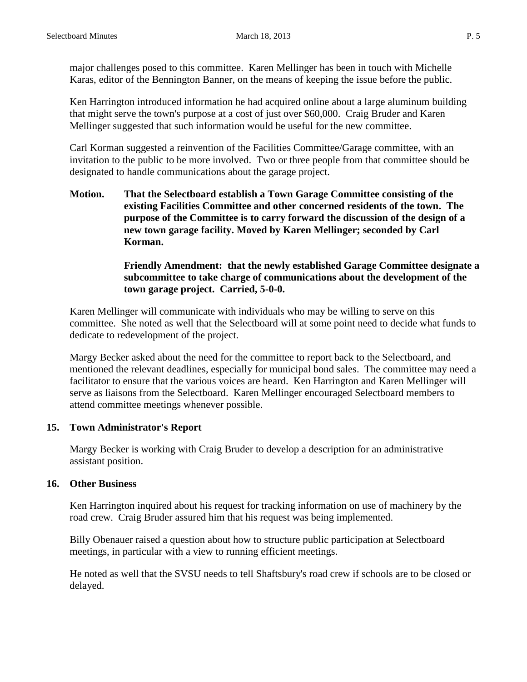major challenges posed to this committee. Karen Mellinger has been in touch with Michelle Karas, editor of the Bennington Banner, on the means of keeping the issue before the public.

Ken Harrington introduced information he had acquired online about a large aluminum building that might serve the town's purpose at a cost of just over \$60,000. Craig Bruder and Karen Mellinger suggested that such information would be useful for the new committee.

Carl Korman suggested a reinvention of the Facilities Committee/Garage committee, with an invitation to the public to be more involved. Two or three people from that committee should be designated to handle communications about the garage project.

**Motion. That the Selectboard establish a Town Garage Committee consisting of the existing Facilities Committee and other concerned residents of the town. The purpose of the Committee is to carry forward the discussion of the design of a new town garage facility. Moved by Karen Mellinger; seconded by Carl Korman.** 

#### **Friendly Amendment: that the newly established Garage Committee designate a subcommittee to take charge of communications about the development of the town garage project. Carried, 5-0-0.**

Karen Mellinger will communicate with individuals who may be willing to serve on this committee. She noted as well that the Selectboard will at some point need to decide what funds to dedicate to redevelopment of the project.

Margy Becker asked about the need for the committee to report back to the Selectboard, and mentioned the relevant deadlines, especially for municipal bond sales. The committee may need a facilitator to ensure that the various voices are heard. Ken Harrington and Karen Mellinger will serve as liaisons from the Selectboard. Karen Mellinger encouraged Selectboard members to attend committee meetings whenever possible.

### **15. Town Administrator's Report**

Margy Becker is working with Craig Bruder to develop a description for an administrative assistant position.

### **16. Other Business**

Ken Harrington inquired about his request for tracking information on use of machinery by the road crew. Craig Bruder assured him that his request was being implemented.

Billy Obenauer raised a question about how to structure public participation at Selectboard meetings, in particular with a view to running efficient meetings.

He noted as well that the SVSU needs to tell Shaftsbury's road crew if schools are to be closed or delayed.